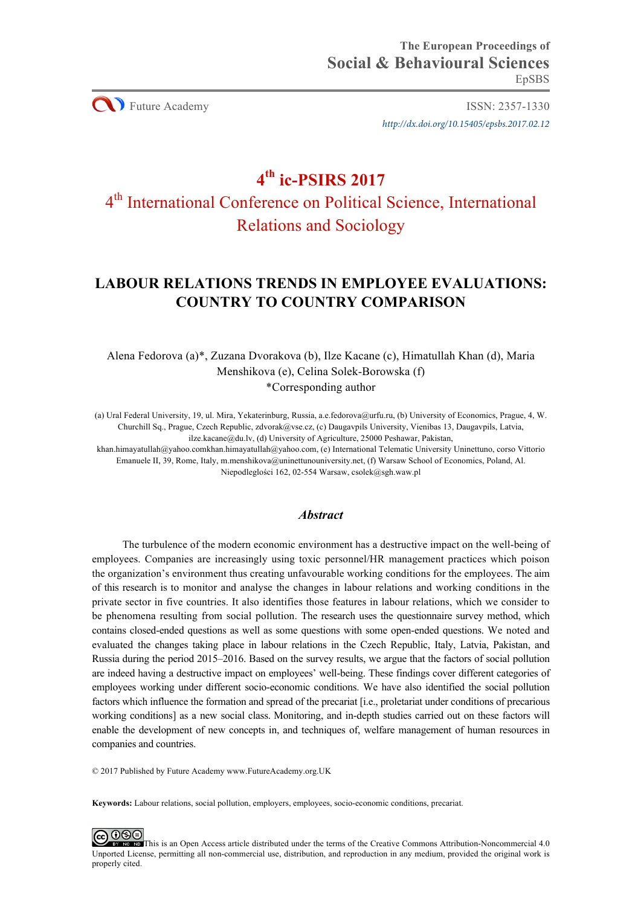**CO** Future Academy ISSN: 2357-1330 *http://dx.doi.org/10.15405/epsbs.2017.02.12*

# **4th ic-PSIRS 2017**

# 4th International Conference on Political Science, International Relations and Sociology

# **LABOUR RELATIONS TRENDS IN EMPLOYEE EVALUATIONS: COUNTRY TO COUNTRY COMPARISON**

Alena Fedorova (a)\*, Zuzana Dvorakova (b), Ilze Kacane (c), Himatullah Khan (d), Maria Menshikova (e), Celina Solek-Borowska (f) \*Corresponding author

(a) Ural Federal University, 19, ul. Mira, Yekaterinburg, Russia, a.e.fedorova@urfu.ru, (b) University of Economics, Prague, 4, W. Churchill Sq., Prague, Czech Republic, zdvorak@vse.cz, (c) Daugavpils University, Vienibas 13, Daugavpils, Latvia, ilze.kacane@du.lv, (d) University of Agriculture, 25000 Peshawar, Pakistan,

khan.himayatullah@yahoo.comkhan.himayatullah@yahoo.com, (e) International Telematic University Uninettuno, corso Vittorio Emanuele II, 39, Rome, Italy, m.menshikova@uninettunouniversity.net, (f) Warsaw School of Economics, Poland, Al. Niepodleglości 162, 02-554 Warsaw, csolek@sgh.waw.pl

# *Abstract*

The turbulence of the modern economic environment has a destructive impact on the well-being of employees. Companies are increasingly using toxic personnel/HR management practices which poison the organization's environment thus creating unfavourable working conditions for the employees. The aim of this research is to monitor and analyse the changes in labour relations and working conditions in the private sector in five countries. It also identifies those features in labour relations, which we consider to be phenomena resulting from social pollution. The research uses the questionnaire survey method, which contains closed-ended questions as well as some questions with some open-ended questions. We noted and evaluated the changes taking place in labour relations in the Czech Republic, Italy, Latvia, Pakistan, and Russia during the period 2015–2016. Based on the survey results, we argue that the factors of social pollution are indeed having a destructive impact on employees' well-being. These findings cover different categories of employees working under different socio-economic conditions. We have also identified the social pollution factors which influence the formation and spread of the precariat [i.e., proletariat under conditions of precarious working conditions] as a new social class. Monitoring, and in-depth studies carried out on these factors will enable the development of new concepts in, and techniques of, welfare management of human resources in companies and countries.

© 2017 Published by Future Academy www.FutureAcademy.org.UK

**Keywords:** Labour relations, social pollution, employers, employees, socio-economic conditions, precariat.

@ මෙ EV NO ND This is an Open Access article distributed under the terms of the Creative Commons Attribution-Noncommercial 4.0 Unported License, permitting all non-commercial use, distribution, and reproduction in any medium, provided the original work is properly cited.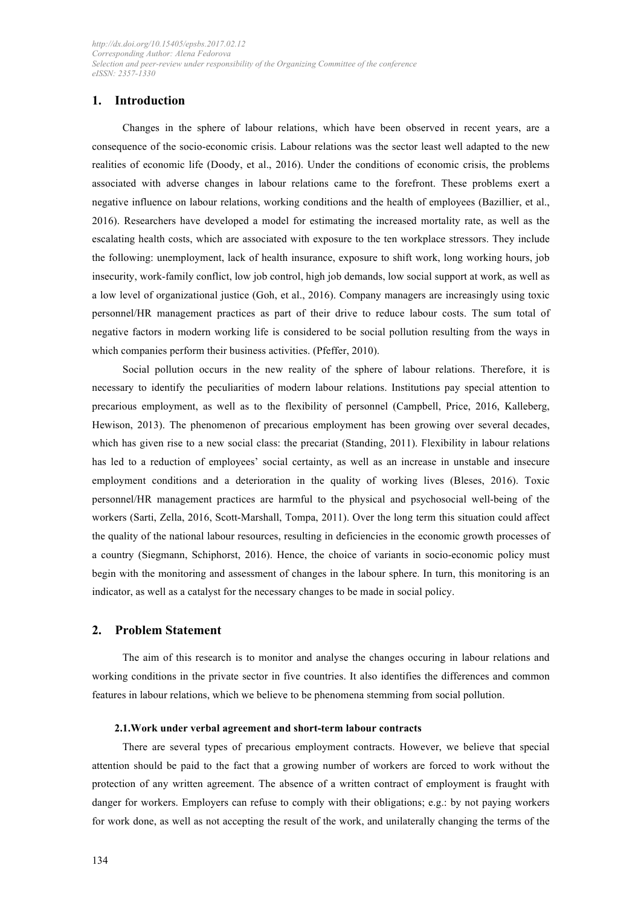# **1. Introduction**

Changes in the sphere of labour relations, which have been observed in recent years, are a consequence of the socio-economic crisis. Labour relations was the sector least well adapted to the new realities of economic life (Doody, et al., 2016). Under the conditions of economic crisis, the problems associated with adverse changes in labour relations came to the forefront. These problems exert a negative influence on labour relations, working conditions and the health of employees (Bazillier, et al., 2016). Researchers have developed a model for estimating the increased mortality rate, as well as the escalating health costs, which are associated with exposure to the ten workplace stressors. They include the following: unemployment, lack of health insurance, exposure to shift work, long working hours, job insecurity, work-family conflict, low job control, high job demands, low social support at work, as well as a low level of organizational justice (Goh, et al., 2016). Company managers are increasingly using toxic personnel/HR management practices as part of their drive to reduce labour costs. The sum total of negative factors in modern working life is considered to be social pollution resulting from the ways in which companies perform their business activities. (Pfeffer, 2010).

Social pollution occurs in the new reality of the sphere of labour relations. Therefore, it is necessary to identify the peculiarities of modern labour relations. Institutions pay special attention to precarious employment, as well as to the flexibility of personnel (Campbell, Price, 2016, Kalleberg, Hewison, 2013). The phenomenon of precarious employment has been growing over several decades, which has given rise to a new social class: the precariat (Standing, 2011). Flexibility in labour relations has led to a reduction of employees' social certainty, as well as an increase in unstable and insecure employment conditions and a deterioration in the quality of working lives (Bleses, 2016). Toxic personnel/HR management practices are harmful to the physical and psychosocial well-being of the workers (Sarti, Zella, 2016, Scott-Marshall, Tompa, 2011). Over the long term this situation could affect the quality of the national labour resources, resulting in deficiencies in the economic growth processes of a country (Siegmann, Schiphorst, 2016). Hence, the choice of variants in socio-economic policy must begin with the monitoring and assessment of changes in the labour sphere. In turn, this monitoring is an indicator, as well as a catalyst for the necessary changes to be made in social policy.

# **2. Problem Statement**

The aim of this research is to monitor and analyse the changes occuring in labour relations and working conditions in the private sector in five countries. It also identifies the differences and common features in labour relations, which we believe to be phenomena stemming from social pollution.

#### **2.1.Work under verbal agreement and short-term labour contracts**

There are several types of precarious employment contracts. However, we believe that special attention should be paid to the fact that a growing number of workers are forced to work without the protection of any written agreement. The absence of a written contract of employment is fraught with danger for workers. Employers can refuse to comply with their obligations; e.g.: by not paying workers for work done, as well as not accepting the result of the work, and unilaterally changing the terms of the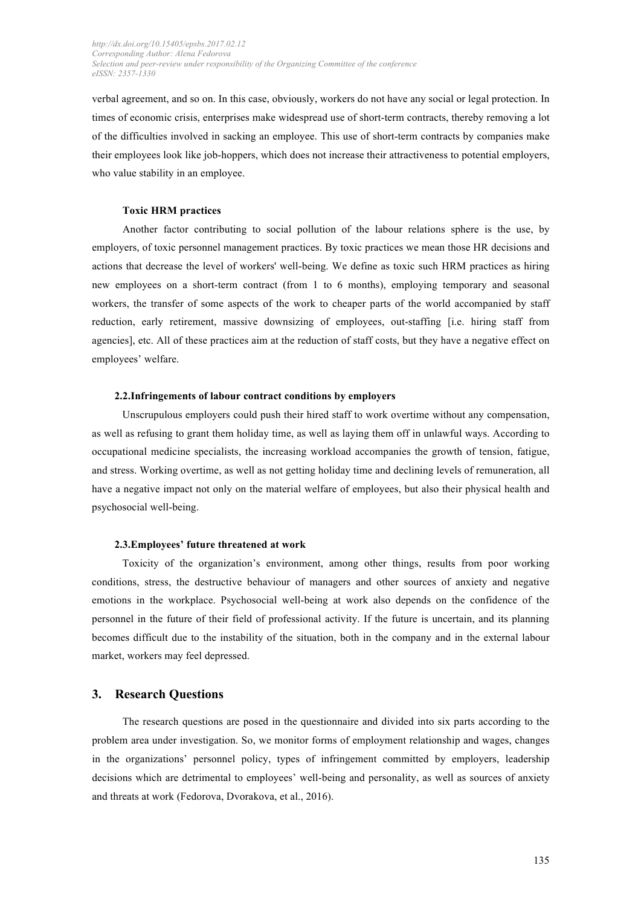verbal agreement, and so on. In this case, obviously, workers do not have any social or legal protection. In times of economic crisis, enterprises make widespread use of short-term contracts, thereby removing a lot of the difficulties involved in sacking an employee. This use of short-term contracts by companies make their employees look like job-hoppers, which does not increase their attractiveness to potential employers, who value stability in an employee.

### **Toxic HRM practices**

Another factor contributing to social pollution of the labour relations sphere is the use, by employers, of toxic personnel management practices. By toxic practices we mean those HR decisions and actions that decrease the level of workers' well-being. We define as toxic such HRM practices as hiring new employees on a short-term contract (from 1 to 6 months), employing temporary and seasonal workers, the transfer of some aspects of the work to cheaper parts of the world accompanied by staff reduction, early retirement, massive downsizing of employees, out-staffing [i.e. hiring staff from agencies], etc. All of these practices aim at the reduction of staff costs, but they have a negative effect on employees' welfare.

# **2.2.Infringements of labour contract conditions by employers**

Unscrupulous employers could push their hired staff to work overtime without any compensation, as well as refusing to grant them holiday time, as well as laying them off in unlawful ways. According to occupational medicine specialists, the increasing workload accompanies the growth of tension, fatigue, and stress. Working overtime, as well as not getting holiday time and declining levels of remuneration, all have a negative impact not only on the material welfare of employees, but also their physical health and psychosocial well-being.

# **2.3.Employees' future threatened at work**

Toxicity of the organization's environment, among other things, results from poor working conditions, stress, the destructive behaviour of managers and other sources of anxiety and negative emotions in the workplace. Psychosocial well-being at work also depends on the confidence of the personnel in the future of their field of professional activity. If the future is uncertain, and its planning becomes difficult due to the instability of the situation, both in the company and in the external labour market, workers may feel depressed.

# **3. Research Questions**

The research questions are posed in the questionnaire and divided into six parts according to the problem area under investigation. So, we monitor forms of employment relationship and wages, changes in the organizations' personnel policy, types of infringement committed by employers, leadership decisions which are detrimental to employees' well-being and personality, as well as sources of anxiety and threats at work (Fedorova, Dvorakova, et al., 2016).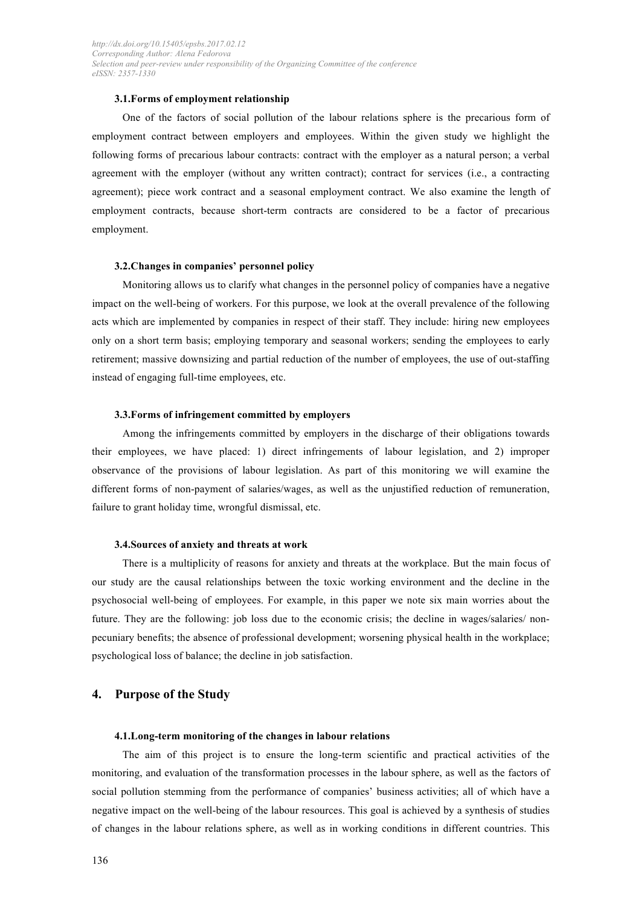# **3.1.Forms of employment relationship**

One of the factors of social pollution of the labour relations sphere is the precarious form of employment contract between employers and employees. Within the given study we highlight the following forms of precarious labour contracts: contract with the employer as a natural person; a verbal agreement with the employer (without any written contract); contract for services (i.e., a contracting agreement); piece work contract and a seasonal employment contract. We also examine the length of employment contracts, because short-term contracts are considered to be a factor of precarious employment.

# **3.2.Changes in companies' personnel policy**

Monitoring allows us to clarify what changes in the personnel policy of companies have a negative impact on the well-being of workers. For this purpose, we look at the overall prevalence of the following acts which are implemented by companies in respect of their staff. They include: hiring new employees only on a short term basis; employing temporary and seasonal workers; sending the employees to early retirement; massive downsizing and partial reduction of the number of employees, the use of out-staffing instead of engaging full-time employees, etc.

#### **3.3.Forms of infringement committed by employers**

Among the infringements committed by employers in the discharge of their obligations towards their employees, we have placed: 1) direct infringements of labour legislation, and 2) improper observance of the provisions of labour legislation. As part of this monitoring we will examine the different forms of non-payment of salaries/wages, as well as the unjustified reduction of remuneration, failure to grant holiday time, wrongful dismissal, etc.

# **3.4.Sources of anxiety and threats at work**

There is a multiplicity of reasons for anxiety and threats at the workplace. But the main focus of our study are the causal relationships between the toxic working environment and the decline in the psychosocial well-being of employees. For example, in this paper we note six main worries about the future. They are the following: job loss due to the economic crisis; the decline in wages/salaries/ nonpecuniary benefits; the absence of professional development; worsening physical health in the workplace; psychological loss of balance; the decline in job satisfaction.

# **4. Purpose of the Study**

#### **4.1.Long-term monitoring of the changes in labour relations**

The aim of this project is to ensure the long-term scientific and practical activities of the monitoring, and evaluation of the transformation processes in the labour sphere, as well as the factors of social pollution stemming from the performance of companies' business activities; all of which have a negative impact on the well-being of the labour resources. This goal is achieved by a synthesis of studies of changes in the labour relations sphere, as well as in working conditions in different countries. This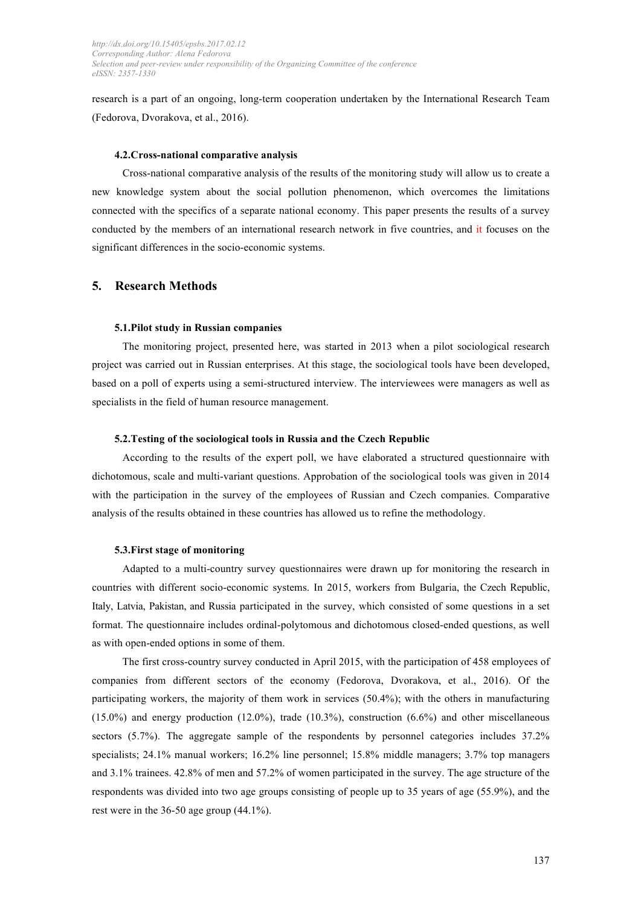research is a part of an ongoing, long-term cooperation undertaken by the International Research Team (Fedorova, Dvorakova, et al., 2016).

### **4.2.Cross-national comparative analysis**

Cross-national comparative analysis of the results of the monitoring study will allow us to create a new knowledge system about the social pollution phenomenon, which overcomes the limitations connected with the specifics of a separate national economy. This paper presents the results of a survey conducted by the members of an international research network in five countries, and it focuses on the significant differences in the socio-economic systems.

# **5. Research Methods**

#### **5.1.Pilot study in Russian companies**

The monitoring project, presented here, was started in 2013 when a pilot sociological research project was carried out in Russian enterprises. At this stage, the sociological tools have been developed, based on a poll of experts using a semi-structured interview. The interviewees were managers as well as specialists in the field of human resource management.

#### **5.2.Testing of the sociological tools in Russia and the Czech Republic**

According to the results of the expert poll, we have elaborated a structured questionnaire with dichotomous, scale and multi-variant questions. Approbation of the sociological tools was given in 2014 with the participation in the survey of the employees of Russian and Czech companies. Comparative analysis of the results obtained in these countries has allowed us to refine the methodology.

#### **5.3.First stage of monitoring**

Adapted to a multi-country survey questionnaires were drawn up for monitoring the research in countries with different socio-economic systems. In 2015, workers from Bulgaria, the Czech Republic, Italy, Latvia, Pakistan, and Russia participated in the survey, which consisted of some questions in a set format. The questionnaire includes ordinal-polytomous and dichotomous closed-ended questions, as well as with open-ended options in some of them.

The first cross-country survey conducted in April 2015, with the participation of 458 employees of companies from different sectors of the economy (Fedorova, Dvorakova, et al., 2016). Of the participating workers, the majority of them work in services (50.4%); with the others in manufacturing (15.0%) and energy production (12.0%), trade (10.3%), construction (6.6%) and other miscellaneous sectors (5.7%). The aggregate sample of the respondents by personnel categories includes 37.2% specialists; 24.1% manual workers; 16.2% line personnel; 15.8% middle managers; 3.7% top managers and 3.1% trainees. 42.8% of men and 57.2% of women participated in the survey. The age structure of the respondents was divided into two age groups consisting of people up to 35 years of age (55.9%), and the rest were in the 36-50 age group (44.1%).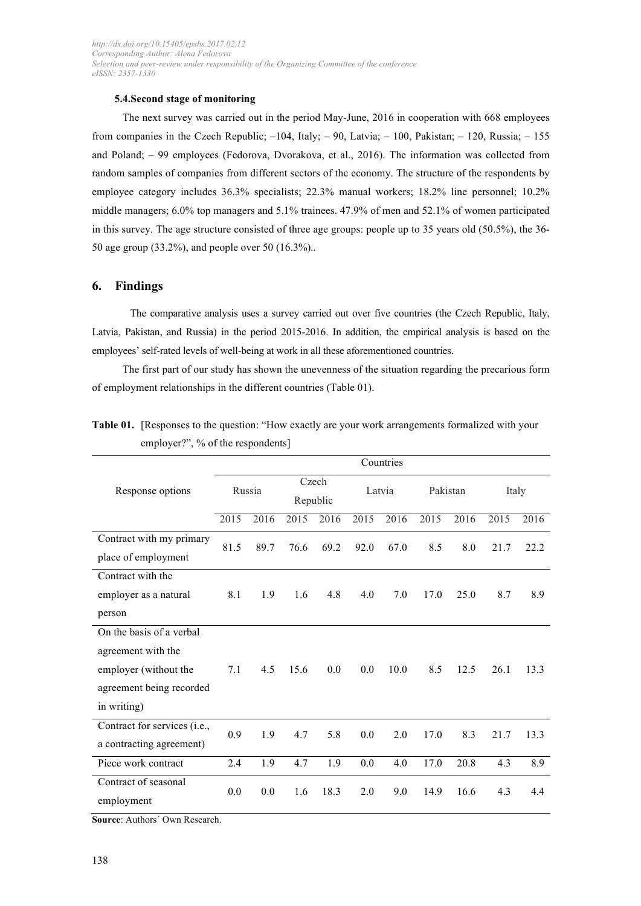# **5.4.Second stage of monitoring**

The next survey was carried out in the period May-June, 2016 in cooperation with 668 employees from companies in the Czech Republic;  $-104$ , Italy;  $-90$ , Latvia;  $-100$ , Pakistan;  $-120$ , Russia;  $-155$ and Poland; – 99 employees (Fedorova, Dvorakova, et al., 2016). The information was collected from random samples of companies from different sectors of the economy. The structure of the respondents by employee category includes 36.3% specialists; 22.3% manual workers; 18.2% line personnel; 10.2% middle managers; 6.0% top managers and 5.1% trainees. 47.9% of men and 52.1% of women participated in this survey. The age structure consisted of three age groups: people up to 35 years old (50.5%), the 36- 50 age group (33.2%), and people over 50 (16.3%)..

# **6. Findings**

The comparative analysis uses a survey carried out over five countries (the Czech Republic, Italy, Latvia, Pakistan, and Russia) in the period 2015-2016. In addition, the empirical analysis is based on the employees' self-rated levels of well-being at work in all these aforementioned countries.

The first part of our study has shown the unevenness of the situation regarding the precarious form of employment relationships in the different countries (Table 01).

|                              | Countries |        |      |                   |      |        |          |      |       |      |  |  |
|------------------------------|-----------|--------|------|-------------------|------|--------|----------|------|-------|------|--|--|
| Response options             |           | Russia |      | Czech<br>Republic |      | Latvia | Pakistan |      | Italy |      |  |  |
|                              | 2015      | 2016   | 2015 | 2016              | 2015 | 2016   | 2015     | 2016 | 2015  | 2016 |  |  |
| Contract with my primary     | 81.5      | 89.7   | 76.6 | 69.2              | 92.0 | 67.0   | 8.5      | 8.0  | 21.7  | 22.2 |  |  |
| place of employment          |           |        |      |                   |      |        |          |      |       |      |  |  |
| Contract with the            |           |        |      |                   |      |        |          |      |       |      |  |  |
| employer as a natural        | 8.1       | 1.9    | 1.6  | 4.8               | 4.0  | 7.0    | 17.0     | 25.0 | 8.7   | 8.9  |  |  |
| person                       |           |        |      |                   |      |        |          |      |       |      |  |  |
| On the basis of a verbal     |           |        |      |                   |      |        |          |      |       |      |  |  |
| agreement with the           |           |        |      |                   |      |        |          |      |       |      |  |  |
| employer (without the        | 7.1       | 4.5    | 15.6 | 0.0               | 0.0  | 10.0   | 8.5      | 12.5 | 26.1  | 13.3 |  |  |
| agreement being recorded     |           |        |      |                   |      |        |          |      |       |      |  |  |
| in writing)                  |           |        |      |                   |      |        |          |      |       |      |  |  |
| Contract for services (i.e., | 0.9       | 1.9    | 4.7  | 5.8               | 0.0  | 2.0    | 17.0     | 8.3  | 21.7  | 13.3 |  |  |
| a contracting agreement)     |           |        |      |                   |      |        |          |      |       |      |  |  |
| Piece work contract          | 2.4       | 1.9    | 4.7  | 1.9               | 0.0  | 4.0    | 17.0     | 20.8 | 4.3   | 8.9  |  |  |
| Contract of seasonal         | 0.0       | 0.0    | 1.6  | 18.3              | 2.0  | 9.0    | 14.9     | 16.6 | 4.3   | 4.4  |  |  |
| employment                   |           |        |      |                   |      |        |          |      |       |      |  |  |

**Table 01.** [Responses to the question: "How exactly are your work arrangements formalized with your employer?", % of the respondents]

**Source**: Authors´ Own Research.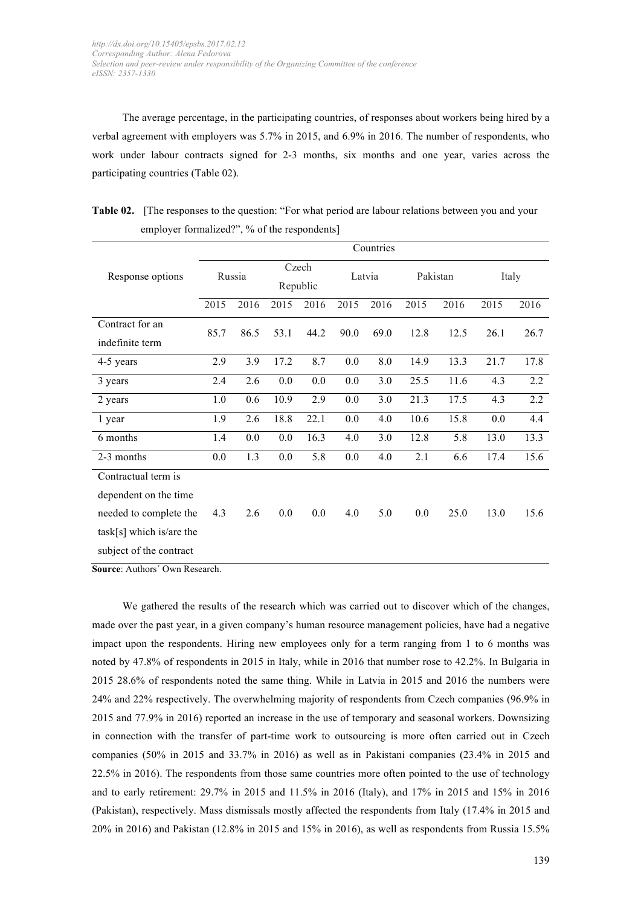The average percentage, in the participating countries, of responses about workers being hired by a verbal agreement with employers was 5.7% in 2015, and 6.9% in 2016. The number of respondents, who work under labour contracts signed for 2-3 months, six months and one year, varies across the participating countries (Table 02).

|                                                                                                                                                      | Countries |      |                   |      |        |      |      |          |       |      |  |  |  |
|------------------------------------------------------------------------------------------------------------------------------------------------------|-----------|------|-------------------|------|--------|------|------|----------|-------|------|--|--|--|
| Response options<br>Contract for an<br>indefinite term<br>4-5 years<br>3 years<br>2 years<br>1 year<br>6 months<br>2-3 months<br>Contractual term is | Russia    |      | Czech<br>Republic |      | Latvia |      |      | Pakistan | Italy |      |  |  |  |
|                                                                                                                                                      | 2015      | 2016 | 2015              | 2016 | 2015   | 2016 | 2015 | 2016     | 2015  | 2016 |  |  |  |
|                                                                                                                                                      | 85.7      | 86.5 | 53.1              | 44.2 | 90.0   | 69.0 | 12.8 | 12.5     | 26.1  | 26.7 |  |  |  |
|                                                                                                                                                      |           |      |                   |      |        |      |      |          |       |      |  |  |  |
|                                                                                                                                                      | 2.9       | 3.9  | 17.2              | 8.7  | 0.0    | 8.0  | 14.9 | 13.3     | 21.7  | 17.8 |  |  |  |
|                                                                                                                                                      | 2.4       | 2.6  | 0.0               | 0.0  | 0.0    | 3.0  | 25.5 | 11.6     | 4.3   | 2.2  |  |  |  |
|                                                                                                                                                      | 1.0       | 0.6  | 10.9              | 2.9  | 0.0    | 3.0  | 21.3 | 17.5     | 4.3   | 2.2  |  |  |  |
|                                                                                                                                                      | 1.9       | 2.6  | 18.8              | 22.1 | 0.0    | 4.0  | 10.6 | 15.8     | 0.0   | 4.4  |  |  |  |
|                                                                                                                                                      | 1.4       | 0.0  | 0.0               | 16.3 | 4.0    | 3.0  | 12.8 | 5.8      | 13.0  | 13.3 |  |  |  |
|                                                                                                                                                      | 0.0       | 1.3  | 0.0               | 5.8  | 0.0    | 4.0  | 2.1  | 6.6      | 17.4  | 15.6 |  |  |  |
|                                                                                                                                                      |           |      |                   |      |        |      |      |          |       |      |  |  |  |
| dependent on the time                                                                                                                                |           |      |                   |      |        |      |      |          |       |      |  |  |  |
| needed to complete the                                                                                                                               | 4.3       | 2.6  | 0.0               | 0.0  | 4.0    | 5.0  | 0.0  | 25.0     | 13.0  | 15.6 |  |  |  |
| $task[s]$ which is/are the                                                                                                                           |           |      |                   |      |        |      |      |          |       |      |  |  |  |
| subject of the contract                                                                                                                              |           |      |                   |      |        |      |      |          |       |      |  |  |  |

**Table 02.** [The responses to the question: "For what period are labour relations between you and your employer formalized?", % of the respondents]

**Source**: Authors´ Own Research.

We gathered the results of the research which was carried out to discover which of the changes, made over the past year, in a given company's human resource management policies, have had a negative impact upon the respondents. Hiring new employees only for a term ranging from 1 to 6 months was noted by 47.8% of respondents in 2015 in Italy, while in 2016 that number rose to 42.2%. In Bulgaria in 2015 28.6% of respondents noted the same thing. While in Latvia in 2015 and 2016 the numbers were 24% and 22% respectively. The overwhelming majority of respondents from Czech companies (96.9% in 2015 and 77.9% in 2016) reported an increase in the use of temporary and seasonal workers. Downsizing in connection with the transfer of part-time work to outsourcing is more often carried out in Czech companies (50% in 2015 and 33.7% in 2016) as well as in Pakistani companies (23.4% in 2015 and 22.5% in 2016). The respondents from those same countries more often pointed to the use of technology and to early retirement: 29.7% in 2015 and 11.5% in 2016 (Italy), and 17% in 2015 and 15% in 2016 (Pakistan), respectively. Mass dismissals mostly affected the respondents from Italy (17.4% in 2015 and 20% in 2016) and Pakistan (12.8% in 2015 and 15% in 2016), as well as respondents from Russia 15.5%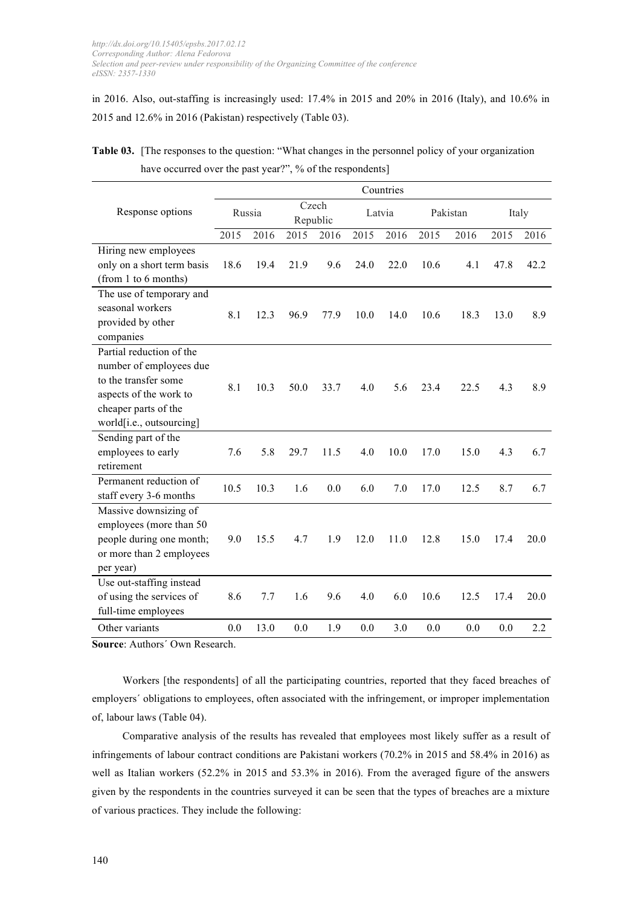in 2016. Also, out-staffing is increasingly used: 17.4% in 2015 and 20% in 2016 (Italy), and 10.6% in 2015 and 12.6% in 2016 (Pakistan) respectively (Table 03).

|                                                                                                                                                           | Countries |        |      |                   |      |        |      |          |      |       |
|-----------------------------------------------------------------------------------------------------------------------------------------------------------|-----------|--------|------|-------------------|------|--------|------|----------|------|-------|
| Response options                                                                                                                                          |           | Russia |      | Czech<br>Republic |      | Latvia |      | Pakistan |      | Italy |
|                                                                                                                                                           | 2015      | 2016   | 2015 | 2016              | 2015 | 2016   | 2015 | 2016     | 2015 | 2016  |
| Hiring new employees                                                                                                                                      |           |        |      |                   |      |        |      |          |      |       |
| only on a short term basis                                                                                                                                | 18.6      | 19.4   | 21.9 | 9.6               | 24.0 | 22.0   | 10.6 | 4.1      | 47.8 | 42.2  |
| (from 1 to 6 months)                                                                                                                                      |           |        |      |                   |      |        |      |          |      |       |
| The use of temporary and<br>seasonal workers<br>provided by other<br>companies                                                                            | 8.1       | 12.3   | 96.9 | 77.9              | 10.0 | 14.0   | 10.6 | 18.3     | 13.0 | 8.9   |
| Partial reduction of the<br>number of employees due<br>to the transfer some<br>aspects of the work to<br>cheaper parts of the<br>world[i.e., outsourcing] | 8.1       | 10.3   | 50.0 | 33.7              | 4.0  | 5.6    | 23.4 | 22.5     | 4.3  | 8.9   |
| Sending part of the<br>employees to early<br>retirement                                                                                                   | 7.6       | 5.8    | 29.7 | 11.5              | 4.0  | 10.0   | 17.0 | 15.0     | 4.3  | 6.7   |
| Permanent reduction of<br>staff every 3-6 months                                                                                                          | 10.5      | 10.3   | 1.6  | 0.0               | 6.0  | 7.0    | 17.0 | 12.5     | 8.7  | 6.7   |
| Massive downsizing of<br>employees (more than 50<br>people during one month;<br>or more than 2 employees<br>per year)                                     | 9.0       | 15.5   | 4.7  | 1.9               | 12.0 | 11.0   | 12.8 | 15.0     | 17.4 | 20.0  |
| Use out-staffing instead<br>of using the services of<br>full-time employees                                                                               | 8.6       | 7.7    | 1.6  | 9.6               | 4.0  | 6.0    | 10.6 | 12.5     | 17.4 | 20.0  |
| Other variants                                                                                                                                            | 0.0       | 13.0   | 0.0  | 1.9               | 0.0  | 3.0    | 0.0  | 0.0      | 0.0  | 2.2   |

**Table 03.** [The responses to the question: "What changes in the personnel policy of your organization have occurred over the past year?", % of the respondents]

**Source**: Authors´ Own Research.

Workers [the respondents] of all the participating countries, reported that they faced breaches of employers´ obligations to employees, often associated with the infringement, or improper implementation of, labour laws (Table 04).

Comparative analysis of the results has revealed that employees most likely suffer as a result of infringements of labour contract conditions are Pakistani workers (70.2% in 2015 and 58.4% in 2016) as well as Italian workers (52.2% in 2015 and 53.3% in 2016). From the averaged figure of the answers given by the respondents in the countries surveyed it can be seen that the types of breaches are a mixture of various practices. They include the following: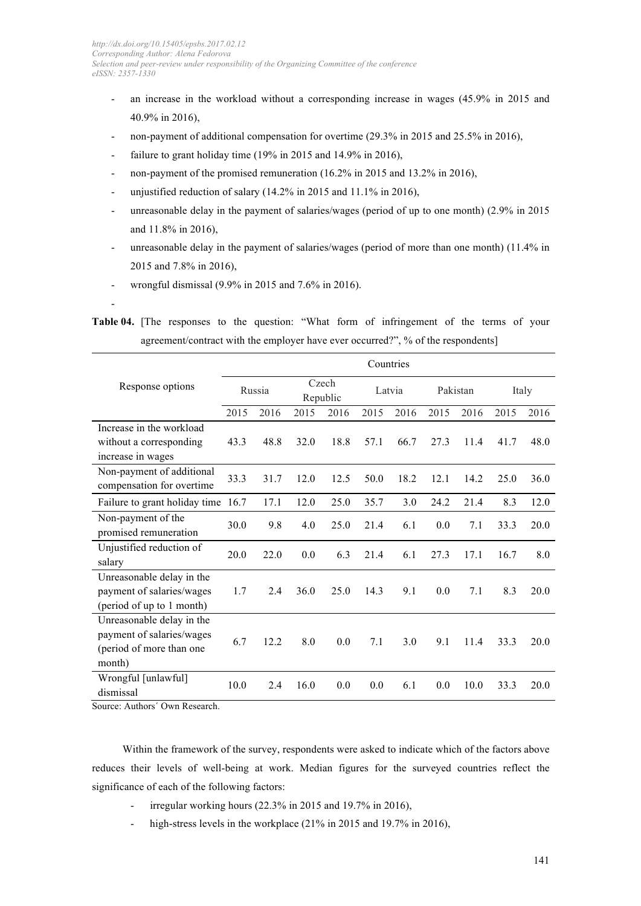- an increase in the workload without a corresponding increase in wages (45.9% in 2015 and 40.9% in 2016),
- non-payment of additional compensation for overtime (29.3% in 2015 and 25.5% in 2016),
- failure to grant holiday time  $(19\% \text{ in } 2015 \text{ and } 14.9\% \text{ in } 2016)$ ,
- non-payment of the promised remuneration (16.2% in 2015 and 13.2% in 2016),
- unjustified reduction of salary (14.2% in 2015 and  $11.1\%$  in 2016),
- unreasonable delay in the payment of salaries/wages (period of up to one month) (2.9% in 2015 and 11.8% in 2016),
- unreasonable delay in the payment of salaries/wages (period of more than one month) (11.4% in 2015 and 7.8% in 2016),
- wrongful dismissal (9.9% in 2015 and 7.6% in 2016).

**Table 04.** [The responses to the question: "What form of infringement of the terms of your agreement/contract with the employer have ever occurred?", % of the respondents]

|                                                                                              | Countries |        |      |                   |      |        |      |          |      |       |  |
|----------------------------------------------------------------------------------------------|-----------|--------|------|-------------------|------|--------|------|----------|------|-------|--|
| Response options                                                                             |           | Russia |      | Czech<br>Republic |      | Latvia |      | Pakistan |      | Italy |  |
|                                                                                              | 2015      | 2016   | 2015 | 2016              | 2015 | 2016   | 2015 | 2016     | 2015 | 2016  |  |
| Increase in the workload<br>without a corresponding<br>increase in wages                     | 43.3      | 48.8   | 32.0 | 18.8              | 57.1 | 66.7   | 27.3 | 11.4     | 41.7 | 48.0  |  |
| Non-payment of additional<br>compensation for overtime                                       | 33.3      | 31.7   | 12.0 | 12.5              | 50.0 | 18.2   | 12.1 | 14.2     | 25.0 | 36.0  |  |
| Failure to grant holiday time                                                                | 16.7      | 17.1   | 12.0 | 25.0              | 35.7 | 3.0    | 24.2 | 21.4     | 8.3  | 12.0  |  |
| Non-payment of the<br>promised remuneration                                                  | 30.0      | 9.8    | 4.0  | 25.0              | 21.4 | 6.1    | 0.0  | 7.1      | 33.3 | 20.0  |  |
| Unjustified reduction of<br>salary                                                           | 20.0      | 22.0   | 0.0  | 6.3               | 21.4 | 6.1    | 27.3 | 17.1     | 16.7 | 8.0   |  |
| Unreasonable delay in the<br>payment of salaries/wages<br>(period of up to 1 month)          | 1.7       | 2.4    | 36.0 | 25.0              | 14.3 | 9.1    | 0.0  | 7.1      | 8.3  | 20.0  |  |
| Unreasonable delay in the<br>payment of salaries/wages<br>(period of more than one<br>month) | 6.7       | 12.2   | 8.0  | 0.0               | 7.1  | 3.0    | 9.1  | 11.4     | 33.3 | 20.0  |  |
| Wrongful [unlawful]<br>dismissal<br>$\sim$<br>$\mathbf{I}$                                   | 10.0      | 2.4    | 16.0 | 0.0               | 0.0  | 6.1    | 0.0  | 10.0     | 33.3 | 20.0  |  |

Source: Authors´ Own Research.

-

Within the framework of the survey, respondents were asked to indicate which of the factors above reduces their levels of well-being at work. Median figures for the surveyed countries reflect the significance of each of the following factors:

- irregular working hours (22.3% in 2015 and 19.7% in 2016),
- high-stress levels in the workplace (21% in 2015 and 19.7% in 2016),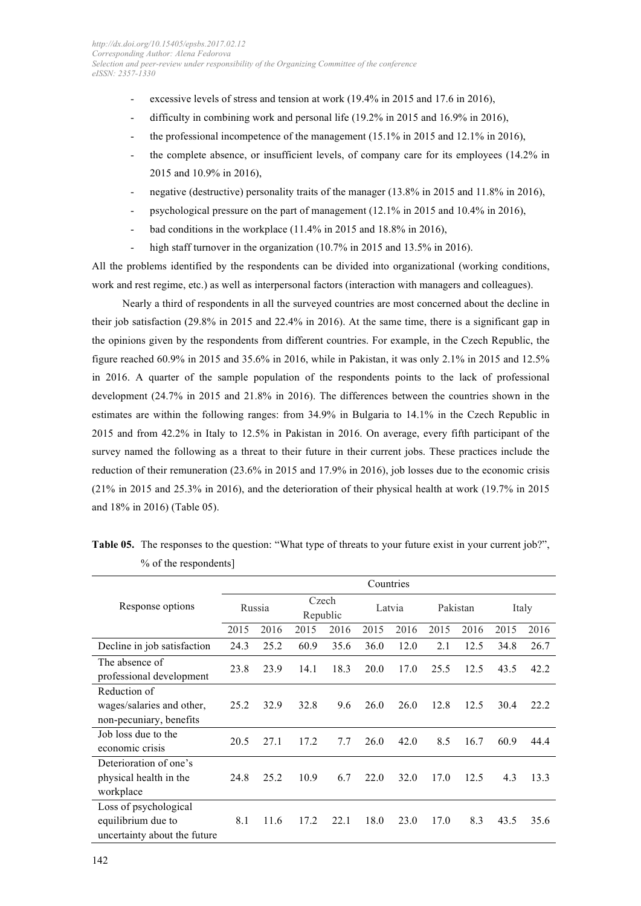- excessive levels of stress and tension at work (19.4% in 2015 and 17.6 in 2016),
- difficulty in combining work and personal life  $(19.2\%$  in 2015 and 16.9% in 2016).
- the professional incompetence of the management  $(15.1\%$  in 2015 and 12.1% in 2016),
- the complete absence, or insufficient levels, of company care for its employees (14.2% in 2015 and 10.9% in 2016),
- negative (destructive) personality traits of the manager (13.8% in 2015 and 11.8% in 2016),
- psychological pressure on the part of management (12.1% in 2015 and 10.4% in 2016),
- bad conditions in the workplace  $(11.4\%$  in 2015 and 18.8% in 2016),
- high staff turnover in the organization  $(10.7\%$  in 2015 and 13.5% in 2016).

All the problems identified by the respondents can be divided into organizational (working conditions, work and rest regime, etc.) as well as interpersonal factors (interaction with managers and colleagues).

Nearly a third of respondents in all the surveyed countries are most concerned about the decline in their job satisfaction (29.8% in 2015 and 22.4% in 2016). At the same time, there is a significant gap in the opinions given by the respondents from different countries. For example, in the Czech Republic, the figure reached 60.9% in 2015 and 35.6% in 2016, while in Pakistan, it was only 2.1% in 2015 and 12.5% in 2016. A quarter of the sample population of the respondents points to the lack of professional development (24.7% in 2015 and 21.8% in 2016). The differences between the countries shown in the estimates are within the following ranges: from 34.9% in Bulgaria to 14.1% in the Czech Republic in 2015 and from 42.2% in Italy to 12.5% in Pakistan in 2016. On average, every fifth participant of the survey named the following as a threat to their future in their current jobs. These practices include the reduction of their remuneration (23.6% in 2015 and 17.9% in 2016), job losses due to the economic crisis (21% in 2015 and 25.3% in 2016), and the deterioration of their physical health at work (19.7% in 2015 and 18% in 2016) (Table 05).

|                                                                             | Countries |        |                   |      |      |        |      |          |      |       |  |
|-----------------------------------------------------------------------------|-----------|--------|-------------------|------|------|--------|------|----------|------|-------|--|
| Response options                                                            |           | Russia | Czech<br>Republic |      |      | Latvia |      | Pakistan |      | Italy |  |
|                                                                             | 2015      | 2016   | 2015              | 2016 | 2015 | 2016   | 2015 | 2016     | 2015 | 2016  |  |
| Decline in job satisfaction                                                 | 24.3      | 25.2   | 60.9              | 35.6 | 36.0 | 12.0   | 2.1  | 12.5     | 34.8 | 26.7  |  |
| The absence of<br>professional development                                  | 23.8      | 23.9   | 14.1              | 18.3 | 20.0 | 17.0   | 25.5 | 12.5     | 43.5 | 42.2  |  |
| Reduction of<br>wages/salaries and other,<br>non-pecuniary, benefits        | 25.2      | 32.9   | 32.8              | 9.6  | 26.0 | 26.0   | 12.8 | 12.5     | 30.4 | 22.2  |  |
| Job loss due to the<br>economic crisis                                      | 20.5      | 27.1   | 17.2              | 7.7  | 26.0 | 42.0   | 8.5  | 16.7     | 60.9 | 44.4  |  |
| Deterioration of one's<br>physical health in the<br>workplace               | 24.8      | 25.2   | 10.9              | 6.7  | 22.0 | 32.0   | 17.0 | 12.5     | 4.3  | 13.3  |  |
| Loss of psychological<br>equilibrium due to<br>uncertainty about the future | 8.1       | 11.6   | 17.2              | 22.1 | 18.0 | 23.0   | 17.0 | 8.3      | 43.5 | 35.6  |  |

**Table 05.** The responses to the question: "What type of threats to your future exist in your current job?", % of the respondents]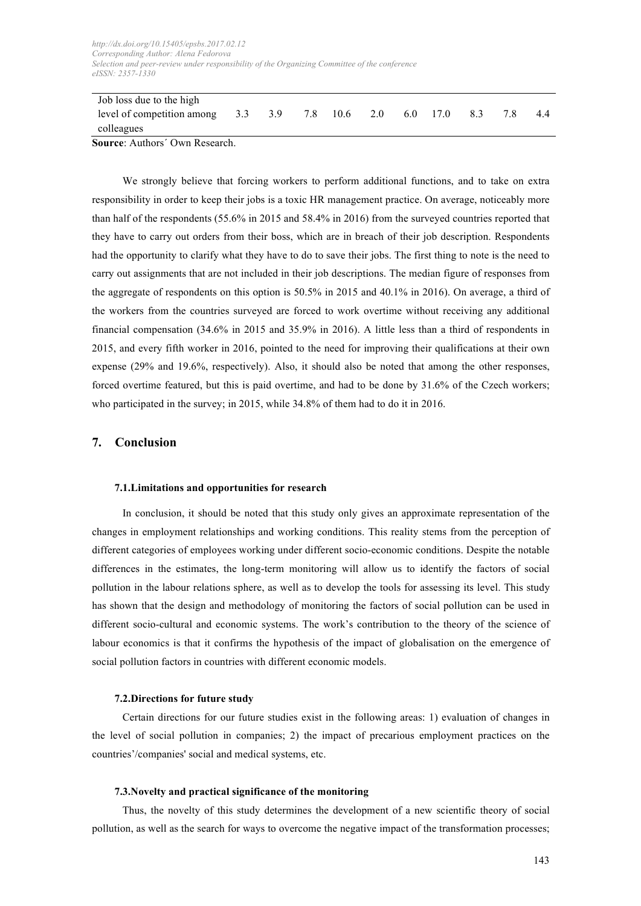| Job loss due to the high              |         |  |     |      |     |     |     |  |  |    |
|---------------------------------------|---------|--|-----|------|-----|-----|-----|--|--|----|
| level of competition among            | 3.3 3.9 |  | 7.8 | 10.6 | 2.0 | 6.0 | 170 |  |  | 44 |
| colleagues                            |         |  |     |      |     |     |     |  |  |    |
| <b>Source:</b> Authors' Own Research. |         |  |     |      |     |     |     |  |  |    |

We strongly believe that forcing workers to perform additional functions, and to take on extra responsibility in order to keep their jobs is a toxic HR management practice. On average, noticeably more than half of the respondents (55.6% in 2015 and 58.4% in 2016) from the surveyed countries reported that they have to carry out orders from their boss, which are in breach of their job description. Respondents had the opportunity to clarify what they have to do to save their jobs. The first thing to note is the need to

carry out assignments that are not included in their job descriptions. The median figure of responses from the aggregate of respondents on this option is 50.5% in 2015 and 40.1% in 2016). On average, a third of the workers from the countries surveyed are forced to work overtime without receiving any additional financial compensation (34.6% in 2015 and 35.9% in 2016). A little less than a third of respondents in 2015, and every fifth worker in 2016, pointed to the need for improving their qualifications at their own expense (29% and 19.6%, respectively). Also, it should also be noted that among the other responses, forced overtime featured, but this is paid overtime, and had to be done by 31.6% of the Czech workers; who participated in the survey; in 2015, while 34.8% of them had to do it in 2016.

# **7. Conclusion**

# **7.1.Limitations and opportunities for research**

In conclusion, it should be noted that this study only gives an approximate representation of the changes in employment relationships and working conditions. This reality stems from the perception of different categories of employees working under different socio-economic conditions. Despite the notable differences in the estimates, the long-term monitoring will allow us to identify the factors of social pollution in the labour relations sphere, as well as to develop the tools for assessing its level. This study has shown that the design and methodology of monitoring the factors of social pollution can be used in different socio-cultural and economic systems. The work's contribution to the theory of the science of labour economics is that it confirms the hypothesis of the impact of globalisation on the emergence of social pollution factors in countries with different economic models.

# **7.2.Directions for future study**

Certain directions for our future studies exist in the following areas: 1) evaluation of changes in the level of social pollution in companies; 2) the impact of precarious employment practices on the countries'/companies' social and medical systems, etc.

# **7.3.Novelty and practical significance of the monitoring**

Thus, the novelty of this study determines the development of a new scientific theory of social pollution, as well as the search for ways to overcome the negative impact of the transformation processes;